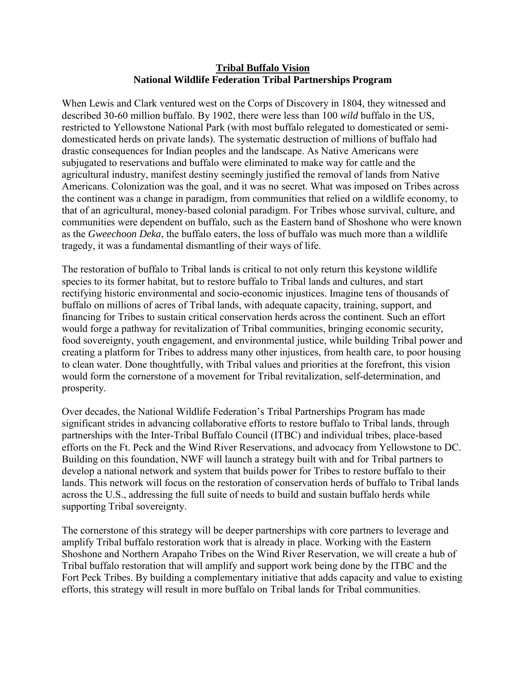## **Tribal Buffalo Vision National Wildlife Federation Tribal Partnerships Program**

When Lewis and Clark ventured west on the Corps of Discovery in 1804, they witnessed and described 30-60 million buffalo. By 1902, there were less than 100 *wild* buffalo in the US, restricted to Yellowstone National Park (with most buffalo relegated to domesticated or semidomesticated herds on private lands). The systematic destruction of millions of buffalo had drastic consequences for Indian peoples and the landscape. As Native Americans were subjugated to reservations and buffalo were eliminated to make way for cattle and the agricultural industry, manifest destiny seemingly justified the removal of lands from Native Americans. Colonization was the goal, and it was no secret. What was imposed on Tribes across the continent was a change in paradigm, from communities that relied on a wildlife economy, to that of an agricultural, money-based colonial paradigm. For Tribes whose survival, culture, and communities were dependent on buffalo, such as the Eastern band of Shoshone who were known as the *Gweechoon Deka*, the buffalo eaters, the loss of buffalo was much more than a wildlife tragedy, it was a fundamental dismantling of their ways of life.

The restoration of buffalo to Tribal lands is critical to not only return this keystone wildlife species to its former habitat, but to restore buffalo to Tribal lands and cultures, and start rectifying historic environmental and socio-economic injustices. Imagine tens of thousands of buffalo on millions of acres of Tribal lands, with adequate capacity, training, support, and financing for Tribes to sustain critical conservation herds across the continent. Such an effort would forge a pathway for revitalization of Tribal communities, bringing economic security, food sovereignty, youth engagement, and environmental justice, while building Tribal power and creating a platform for Tribes to address many other injustices, from health care, to poor housing to clean water. Done thoughtfully, with Tribal values and priorities at the forefront, this vision would form the cornerstone of a movement for Tribal revitalization, self-determination, and prosperity.

Over decades, the National Wildlife Federation's Tribal Partnerships Program has made significant strides in advancing collaborative efforts to restore buffalo to Tribal lands, through partnerships with the Inter-Tribal Buffalo Council (ITBC) and individual tribes, place-based efforts on the Ft. Peck and the Wind River Reservations, and advocacy from Yellowstone to DC. Building on this foundation, NWF will launch a strategy built with and for Tribal partners to develop a national network and system that builds power for Tribes to restore buffalo to their lands. This network will focus on the restoration of conservation herds of buffalo to Tribal lands across the U.S., addressing the full suite of needs to build and sustain buffalo herds while supporting Tribal sovereignty.

The cornerstone of this strategy will be deeper partnerships with core partners to leverage and amplify Tribal buffalo restoration work that is already in place. Working with the Eastern Shoshone and Northern Arapaho Tribes on the Wind River Reservation, we will create a hub of Tribal buffalo restoration that will amplify and support work being done by the ITBC and the Fort Peck Tribes. By building a complementary initiative that adds capacity and value to existing efforts, this strategy will result in more buffalo on Tribal lands for Tribal communities.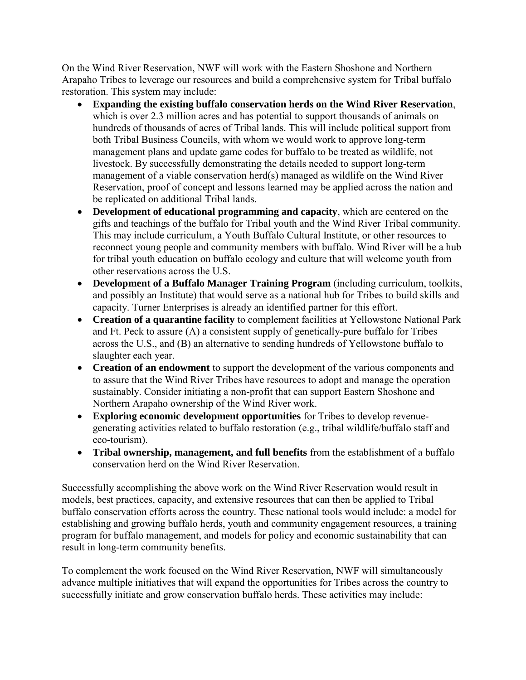On the Wind River Reservation, NWF will work with the Eastern Shoshone and Northern Arapaho Tribes to leverage our resources and build a comprehensive system for Tribal buffalo restoration. This system may include:

- **Expanding the existing buffalo conservation herds on the Wind River Reservation**, which is over 2.3 million acres and has potential to support thousands of animals on hundreds of thousands of acres of Tribal lands. This will include political support from both Tribal Business Councils, with whom we would work to approve long-term management plans and update game codes for buffalo to be treated as wildlife, not livestock. By successfully demonstrating the details needed to support long-term management of a viable conservation herd(s) managed as wildlife on the Wind River Reservation, proof of concept and lessons learned may be applied across the nation and be replicated on additional Tribal lands.
- **Development of educational programming and capacity**, which are centered on the gifts and teachings of the buffalo for Tribal youth and the Wind River Tribal community. This may include curriculum, a Youth Buffalo Cultural Institute, or other resources to reconnect young people and community members with buffalo. Wind River will be a hub for tribal youth education on buffalo ecology and culture that will welcome youth from other reservations across the U.S.
- **Development of a Buffalo Manager Training Program** (including curriculum, toolkits, and possibly an Institute) that would serve as a national hub for Tribes to build skills and capacity. Turner Enterprises is already an identified partner for this effort.
- **Creation of a quarantine facility** to complement facilities at Yellowstone National Park and Ft. Peck to assure (A) a consistent supply of genetically-pure buffalo for Tribes across the U.S., and (B) an alternative to sending hundreds of Yellowstone buffalo to slaughter each year.
- **Creation of an endowment** to support the development of the various components and to assure that the Wind River Tribes have resources to adopt and manage the operation sustainably. Consider initiating a non-profit that can support Eastern Shoshone and Northern Arapaho ownership of the Wind River work.
- **Exploring economic development opportunities** for Tribes to develop revenuegenerating activities related to buffalo restoration (e.g., tribal wildlife/buffalo staff and eco-tourism).
- **Tribal ownership, management, and full benefits** from the establishment of a buffalo conservation herd on the Wind River Reservation.

Successfully accomplishing the above work on the Wind River Reservation would result in models, best practices, capacity, and extensive resources that can then be applied to Tribal buffalo conservation efforts across the country. These national tools would include: a model for establishing and growing buffalo herds, youth and community engagement resources, a training program for buffalo management, and models for policy and economic sustainability that can result in long-term community benefits.

To complement the work focused on the Wind River Reservation, NWF will simultaneously advance multiple initiatives that will expand the opportunities for Tribes across the country to successfully initiate and grow conservation buffalo herds. These activities may include: